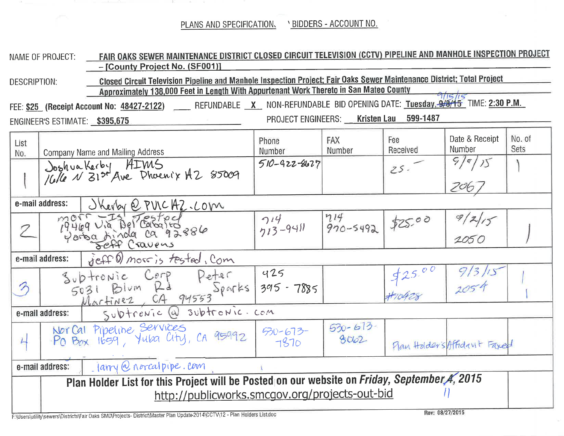PLANS AND SPECIFICATION. \ BIDDERS - ACCOUNT NO.

and the contract of

- -

on the company of

|                                                                                                                                                               | NAME OF PROJECT:                                                                             | FAIR OAKS SEWER MAINTENANCE DISTRICT CLOSED CIRCUIT TELEVISION (CCTV) PIPELINE AND MANHOLE INSPECTION PROJECT<br>- [County Project No. (SF001)]                                                                  |                       |                     |                 |                              |                |  |  |  |  |  |
|---------------------------------------------------------------------------------------------------------------------------------------------------------------|----------------------------------------------------------------------------------------------|------------------------------------------------------------------------------------------------------------------------------------------------------------------------------------------------------------------|-----------------------|---------------------|-----------------|------------------------------|----------------|--|--|--|--|--|
| DESCRIPTION:                                                                                                                                                  |                                                                                              | Closed Circuit Television Pipeline and Manhole Inspection Project; Fair Oaks Sewer Maintenance District; Total Project<br>Approximately 138,000 Feet in Length With Appurtenant Work Thereto in San Mateo County |                       |                     |                 |                              |                |  |  |  |  |  |
| FEE: <u>\$25</u> (Receipt Account No: <u>48427-2122)</u> _____ Refundable _x__ Non-refundable bid opening date: <u>Tuesday, 9/8/15</u> Time: <u>2:30 p.m.</u> |                                                                                              |                                                                                                                                                                                                                  |                       |                     |                 |                              |                |  |  |  |  |  |
| PROJECT ENGINEERS: Kristen Lau 599-1487<br>ENGINEER'S ESTIMATE: \$395,675                                                                                     |                                                                                              |                                                                                                                                                                                                                  |                       |                     |                 |                              |                |  |  |  |  |  |
| List<br>No.                                                                                                                                                   |                                                                                              | <b>Company Name and Mailing Address</b>                                                                                                                                                                          | Phone<br>Number       | FAX<br>Number       | Fee<br>Received | Date & Receipt<br>Number     | No. of<br>Sets |  |  |  |  |  |
|                                                                                                                                                               |                                                                                              | Joshua Kerby AIMS<br>/G/6 N 31st Ave Dhoenix A2 85009                                                                                                                                                            | $510 - 922 - 8627$    |                     | $25 -$          | 9/9/15                       |                |  |  |  |  |  |
|                                                                                                                                                               |                                                                                              |                                                                                                                                                                                                                  |                       |                     |                 | 206 ,                        |                |  |  |  |  |  |
| e-mail address:<br>Skerby @ PULCAZ.COM                                                                                                                        |                                                                                              |                                                                                                                                                                                                                  |                       |                     |                 |                              |                |  |  |  |  |  |
| Γ                                                                                                                                                             |                                                                                              | Maria Via Del Caballo<br>Yorba Ainda Ca 92886                                                                                                                                                                    | $714$<br>$713 - 9411$ | $714$<br>970-5492   | \$25.00         | 9/2/15<br>2050               |                |  |  |  |  |  |
| reff () more is tested, Com<br>e-mail address:                                                                                                                |                                                                                              |                                                                                                                                                                                                                  |                       |                     |                 |                              |                |  |  |  |  |  |
| $\gamma$                                                                                                                                                      |                                                                                              | Subtrenic Cerp Peter 425<br>5031 Blum Rd Sparks 395-7885<br>Martinez, CA 94553                                                                                                                                   |                       |                     |                 | 913/15                       |                |  |  |  |  |  |
|                                                                                                                                                               | Subtrenic @ subtrenic.com<br>e-mail address:                                                 |                                                                                                                                                                                                                  |                       |                     |                 |                              |                |  |  |  |  |  |
| $\overline{4}$                                                                                                                                                |                                                                                              | Nor Cal Pipeline Services<br>Po Box 1659, Yuba City, CA 95992                                                                                                                                                    | $30 - 673 - 1510$     | $530 - 613$<br>8002 |                 | Flan Holders Affidavit Faxed |                |  |  |  |  |  |
| $l$ larry $Q$ norcalpipe. Com<br>e-mail address:                                                                                                              |                                                                                              |                                                                                                                                                                                                                  |                       |                     |                 |                              |                |  |  |  |  |  |
|                                                                                                                                                               | Plan Holder List for this Project will be Posted on our website on Friday, September 4, 2015 |                                                                                                                                                                                                                  |                       |                     |                 |                              |                |  |  |  |  |  |
|                                                                                                                                                               | http://publicworks.smcgov.org/projects-out-bid                                               |                                                                                                                                                                                                                  |                       |                     |                 |                              |                |  |  |  |  |  |
| Rev: 08/27/2015<br>F:\Users\utility\sewers\Districts\Fair Oaks SMD\Projects- District\Master Plan Update 2014\CCTV\12 - Plan Holders List.doc                 |                                                                                              |                                                                                                                                                                                                                  |                       |                     |                 |                              |                |  |  |  |  |  |

 $\mathcal{C}^{\mathcal{A}}$